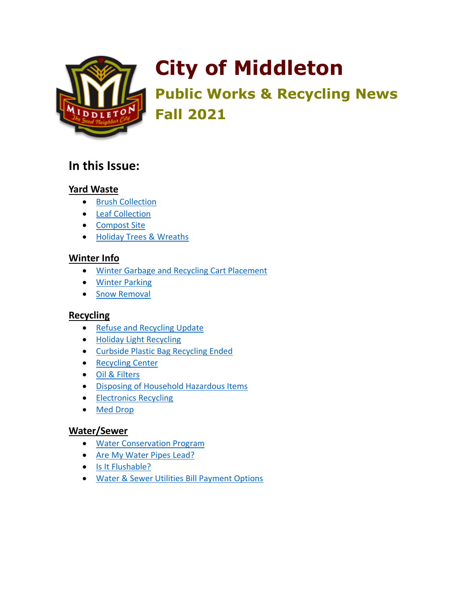

# **City of Middleton**

**Public Works & Recycling News Fall 2021**

# **In this Issue:**

#### **Yard Waste**

- [Brush Collection](#page-1-0)
- [Leaf Collection](#page-2-0)
- [Compost Site](#page-2-1)
- [Holiday Trees](#page-2-2) & Wreaths

### **Winter Info**

- [Winter Garbage and Recycling Cart Placement](#page-3-0)
- [Winter Parking](#page-3-1)
- [Snow Removal](#page-3-2)

#### **Recycling**

- [Refuse and Recycling Update](#page-4-0)
- [Holiday Light Recycling](#page-4-1)
- [Curbside Plastic Bag Recycling Ended](#page-4-2)
- [Recycling Center](#page-4-3)
- [Oil & Filters](#page-5-0)
- [Disposing of Household Hazardous Items](#page-5-1)
- **[Electronics Recycling](#page-5-2)**
- [Med Drop](#page-5-3)

#### **Water/Sewer**

- [Water Conservation Program](#page-6-0)
- [Are My Water Pipes Lead?](#page-6-1)
- [Is It Flushable?](#page-6-2)
- [Water & Sewer Utilities Bill Payment Options](#page-6-3)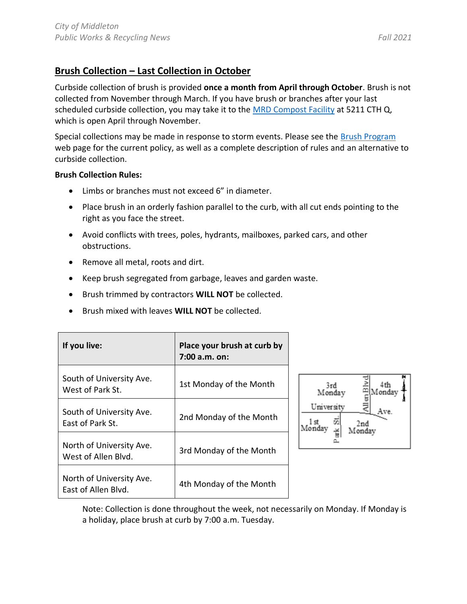#### <span id="page-1-0"></span>**Brush Collection – Last Collection in October**

Curbside collection of brush is provided **once a month from April through October**. Brush is not collected from November through March. If you have brush or branches after your last scheduled curbside collection, you may take it to the [MRD Compost Facility](https://www.cityofmiddleton.us/358/Compost) at 5211 CTH Q, which is open April through November.

Special collections may be made in response to storm events. Please see the [Brush Program](https://www.cityofmiddleton.us/359/Brush) web page for the current policy, as well as a complete description of rules and an alternative to curbside collection.

#### **Brush Collection Rules:**

- Limbs or branches must not exceed 6" in diameter.
- Place brush in an orderly fashion parallel to the curb, with all cut ends pointing to the right as you face the street.
- Avoid conflicts with trees, poles, hydrants, mailboxes, parked cars, and other obstructions.
- Remove all metal, roots and dirt.
- Keep brush segregated from garbage, leaves and garden waste.
- Brush trimmed by contractors **WILL NOT** be collected.
- Brush mixed with leaves **WILL NOT** be collected.

| If you live:                                    | Place your brush at curb by<br>$7:00$ a.m. on: |                                                                                              |
|-------------------------------------------------|------------------------------------------------|----------------------------------------------------------------------------------------------|
| South of University Ave.<br>West of Park St.    | 1st Monday of the Month                        | 3rd<br>4th<br>Monday<br>onday<br>University<br>Ave.<br>l st<br>U)<br>2nd<br>Monday<br>Mondav |
| South of University Ave.<br>East of Park St.    | 2nd Monday of the Month                        |                                                                                              |
| North of University Ave.<br>West of Allen Blvd. | 3rd Monday of the Month                        |                                                                                              |
| North of University Ave.<br>East of Allen Blvd. | 4th Monday of the Month                        |                                                                                              |

Note: Collection is done throughout the week, not necessarily on Monday. If Monday is a holiday, place brush at curb by 7:00 a.m. Tuesday.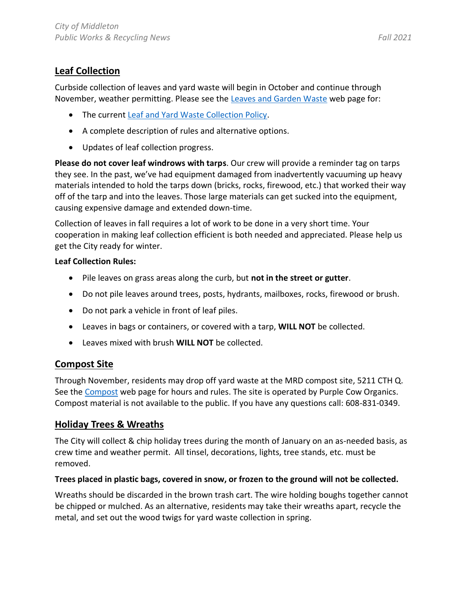### <span id="page-2-0"></span>**Leaf Collection**

Curbside collection of leaves and yard waste will begin in October and continue through November, weather permitting. Please see the [Leaves and Garden Waste](https://www.cityofmiddleton.us/360/Leaves-and-Garden-Waste) web page for:

- The current [Leaf and Yard Waste Collection Policy.](https://cityofmiddleton.us/DocumentCenter/View/145)
- A complete description of rules and alternative options.
- Updates of leaf collection progress.

**Please do not cover leaf windrows with tarps**. Our crew will provide a reminder tag on tarps they see. In the past, we've had equipment damaged from inadvertently vacuuming up heavy materials intended to hold the tarps down (bricks, rocks, firewood, etc.) that worked their way off of the tarp and into the leaves. Those large materials can get sucked into the equipment, causing expensive damage and extended down-time.

Collection of leaves in fall requires a lot of work to be done in a very short time. Your cooperation in making leaf collection efficient is both needed and appreciated. Please help us get the City ready for winter.

#### **Leaf Collection Rules:**

- Pile leaves on grass areas along the curb, but **not in the street or gutter**.
- Do not pile leaves around trees, posts, hydrants, mailboxes, rocks, firewood or brush.
- Do not park a vehicle in front of leaf piles.
- Leaves in bags or containers, or covered with a tarp, **WILL NOT** be collected.
- Leaves mixed with brush **WILL NOT** be collected.

#### **Compost Site**

<span id="page-2-1"></span>Through November, residents may drop off yard waste at the MRD compost site, 5211 CTH Q. See the [Compost](https://www.cityofmiddleton.us/358/Compost) web page for hours and rules. The site is operated by Purple Cow Organics. Compost material is not available to the public. If you have any questions call: 608-831-0349.

#### <span id="page-2-2"></span>**Holiday Trees & Wreaths**

The City will collect & chip holiday trees during the month of January on an as-needed basis, as crew time and weather permit. All tinsel, decorations, lights, tree stands, etc. must be removed.

#### **Trees placed in plastic bags, covered in snow, or frozen to the ground will not be collected.**

Wreaths should be discarded in the brown trash cart. The wire holding boughs together cannot be chipped or mulched. As an alternative, residents may take their wreaths apart, recycle the metal, and set out the wood twigs for yard waste collection in spring.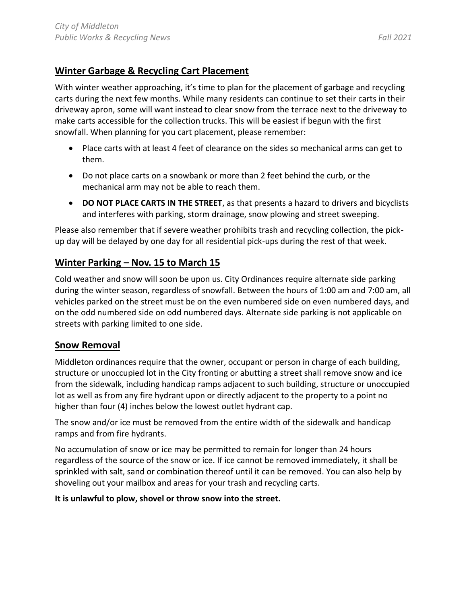#### <span id="page-3-0"></span>**Winter Garbage & Recycling Cart Placement**

With winter weather approaching, it's time to plan for the placement of garbage and recycling carts during the next few months. While many residents can continue to set their carts in their driveway apron, some will want instead to clear snow from the terrace next to the driveway to make carts accessible for the collection trucks. This will be easiest if begun with the first snowfall. When planning for you cart placement, please remember:

- Place carts with at least 4 feet of clearance on the sides so mechanical arms can get to them.
- Do not place carts on a snowbank or more than 2 feet behind the curb, or the mechanical arm may not be able to reach them.
- **DO NOT PLACE CARTS IN THE STREET**, as that presents a hazard to drivers and bicyclists and interferes with parking, storm drainage, snow plowing and street sweeping.

Please also remember that if severe weather prohibits trash and recycling collection, the pickup day will be delayed by one day for all residential pick-ups during the rest of that week.

### <span id="page-3-1"></span>**Winter Parking – Nov. 15 to March 15**

Cold weather and snow will soon be upon us. City Ordinances require alternate side parking during the winter season, regardless of snowfall. Between the hours of 1:00 am and 7:00 am, all vehicles parked on the street must be on the even numbered side on even numbered days, and on the odd numbered side on odd numbered days. Alternate side parking is not applicable on streets with parking limited to one side.

#### <span id="page-3-2"></span>**Snow Removal**

Middleton ordinances require that the owner, occupant or person in charge of each building, structure or unoccupied lot in the City fronting or abutting a street shall remove snow and ice from the sidewalk, including handicap ramps adjacent to such building, structure or unoccupied lot as well as from any fire hydrant upon or directly adjacent to the property to a point no higher than four (4) inches below the lowest outlet hydrant cap.

The snow and/or ice must be removed from the entire width of the sidewalk and handicap ramps and from fire hydrants.

No accumulation of snow or ice may be permitted to remain for longer than 24 hours regardless of the source of the snow or ice. If ice cannot be removed immediately, it shall be sprinkled with salt, sand or combination thereof until it can be removed. You can also help by shoveling out your mailbox and areas for your trash and recycling carts.

**It is unlawful to plow, shovel or throw snow into the street.**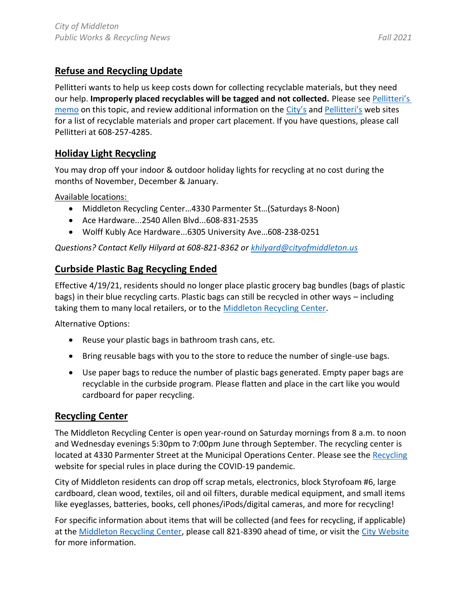#### <span id="page-4-0"></span>**Refuse and Recycling Update**

Pellitteri wants to help us keep costs down for collecting recyclable materials, but they need our help. **Improperly placed recyclables will be tagged and not collected.** Please see [Pellitteri's](https://wi-middleton2.civicplus.com/DocumentCenter/View/6142/Notice--Properly-Preparing-Additional-Recyclables-2019)  [memo](https://wi-middleton2.civicplus.com/DocumentCenter/View/6142/Notice--Properly-Preparing-Additional-Recyclables-2019) on this topic, and review additional information on the [City's](https://cityofmiddleton.us/) and Pell[itteri's](https://www.pellitteri.com/pages/city-of-middleton) web sites for a list of recyclable materials and proper cart placement. If you have questions, please call Pellitteri at 608-257-4285.

# <span id="page-4-1"></span>**Holiday Light Recycling**

You may drop off your indoor & outdoor holiday lights for recycling at no cost during the months of November, December & January.

Available locations:

- Middleton Recycling Center…4330 Parmenter St…(Saturdays 8-Noon)
- Ace Hardware...2540 Allen Blvd...608-831-2535
- Wolff Kubly Ace Hardware...6305 University Ave…608-238-0251

*Questions? Contact Kelly Hilyard at 608-821-8362 or [khilyard@cityofmiddleton.us](mailto:khilyard@cityofmiddleton.us)*

### <span id="page-4-2"></span>**Curbside Plastic Bag Recycling Ended**

Effective 4/19/21, residents should no longer place plastic grocery bag bundles (bags of plastic bags) in their blue recycling carts. Plastic bags can still be recycled in other ways – including taking them to many local retailers, or to the [Middleton Recycling Center.](https://cityofmiddleton.us/recyclingcenter)

Alternative Options:

- Reuse your plastic bags in bathroom trash cans, etc.
- Bring reusable bags with you to the store to reduce the number of single-use bags.
- Use paper bags to reduce the number of plastic bags generated. Empty paper bags are recyclable in the curbside program. Please flatten and place in the cart like you would cardboard for paper recycling.

#### <span id="page-4-3"></span>**Recycling Center**

The Middleton Recycling Center is open year-round on Saturday mornings from 8 a.m. to noon and Wednesday evenings 5:30pm to 7:00pm June through September. The recycling center is located at 4330 Parmenter Street at the Municipal Operations Center. Please see the [Recycling](https://cityofmiddleton.us/183/Recycling) website for special rules in place during the COVID-19 pandemic.

City of Middleton residents can drop off scrap metals, electronics, block Styrofoam #6, large cardboard, clean wood, textiles, oil and oil filters, durable medical equipment, and small items like eyeglasses, batteries, books, cell phones/iPods/digital cameras, and more for recycling!

For specific information about items that will be collected (and fees for recycling, if applicable) at the [Middleton Recycling Center,](https://cityofmiddleton.us/recyclingcenter) please call 821-8390 ahead of time, or visit the [City Website](https://cityofmiddleton.us/) for more information.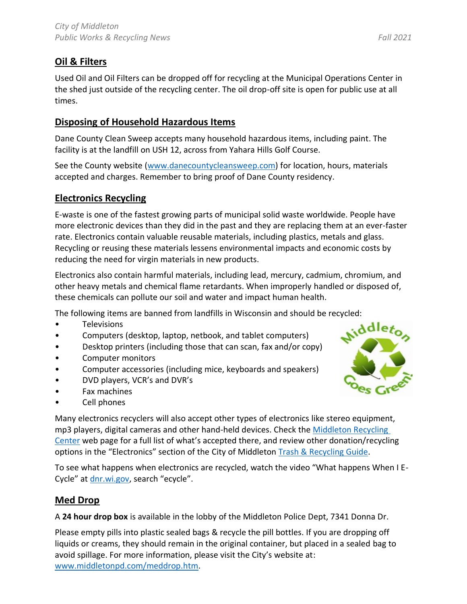# <span id="page-5-0"></span>**Oil & Filters**

Used Oil and Oil Filters can be dropped off for recycling at the Municipal Operations Center in the shed just outside of the recycling center. The oil drop-off site is open for public use at all times.

#### <span id="page-5-1"></span>**Disposing of Household Hazardous Items**

Dane County Clean Sweep accepts many household hazardous items, including paint. The facility is at the landfill on USH 12, across from Yahara Hills Golf Course.

See the County website [\(www.danecountycleansweep.com\)](http://www.danecountycleansweep.com/) for location, hours, materials accepted and charges. Remember to bring proof of Dane County residency.

### <span id="page-5-2"></span>**Electronics Recycling**

E-waste is one of the fastest growing parts of municipal solid waste worldwide. People have more electronic devices than they did in the past and they are replacing them at an ever-faster rate. Electronics contain valuable reusable materials, including plastics, metals and glass. Recycling or reusing these materials lessens environmental impacts and economic costs by reducing the need for virgin materials in new products.

Electronics also contain harmful materials, including lead, mercury, cadmium, chromium, and other heavy metals and chemical flame retardants. When improperly handled or disposed of, these chemicals can pollute our soil and water and impact human health.

The following items are banned from landfills in Wisconsin and should be recycled:

- Televisions
- Computers (desktop, laptop, netbook, and tablet computers)
- Desktop printers (including those that can scan, fax and/or copy)
- Computer monitors
- Computer accessories (including mice, keyboards and speakers)
- DVD players, VCR's and DVR's
- Fax machines
- Cell phones

Many electronics recyclers will also accept other types of electronics like stereo equipment, mp3 players, digital cameras and other hand-held devices. Check th[e Middleton Recycling](https://www.cityofmiddleton.us/420/Recycling-Center)  [Center](https://www.cityofmiddleton.us/420/Recycling-Center) web page for a full list of what's accepted there, and review other donation/recycling options in the "Electronics" section of the City of Middleton [Trash & Recycling Guide.](http://www.cityofmiddleton.us/DocumentCenter/View/8)

To see what happens when electronics are recycled, watch the video "What happens When I E-Cycle" at [dnr.wi.gov,](https://dnr.wisconsin.gov/topic/Ecycle) search "ecycle".

#### <span id="page-5-3"></span>**Med Drop**

A **24 hour drop box** is available in the lobby of the Middleton Police Dept, 7341 Donna Dr.

Please empty pills into plastic sealed bags & recycle the pill bottles. If you are dropping off liquids or creams, they should remain in the original container, but placed in a sealed bag to avoid spillage. For more information, please visit the City's website at: [www.middletonpd.com/meddrop.htm.](http://www.middletonpd.com/meddrop.htm)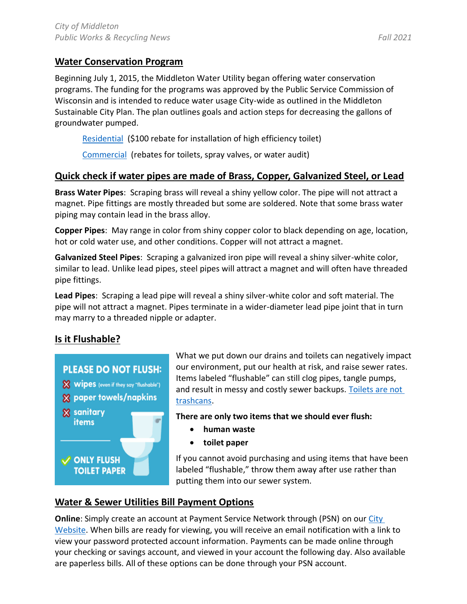#### <span id="page-6-0"></span>**Water Conservation Program**

Beginning July 1, 2015, the Middleton Water Utility began offering water conservation programs. The funding for the programs was approved by the Public Service Commission of Wisconsin and is intended to reduce water usage City-wide as outlined in the Middleton Sustainable City Plan. The plan outlines goals and action steps for decreasing the gallons of groundwater pumped.

[Residential](http://www.ci.middleton.wi.us/370/Residential-Water-Conservation-Program) (\$100 rebate for installation of high efficiency toilet)

[Commercial](http://www.ci.middleton.wi.us/371/Commercial-Water-Conservation-Program) (rebates for toilets, spray valves, or water audit)

### <span id="page-6-1"></span>**Quick check if water pipes are made of Brass, Copper, Galvanized Steel, or Lead**

**Brass Water Pipes**: Scraping brass will reveal a shiny yellow color. The pipe will not attract a magnet. Pipe fittings are mostly threaded but some are soldered. Note that some brass water piping may contain lead in the brass alloy.

**Copper Pipes**: May range in color from shiny copper color to black depending on age, location, hot or cold water use, and other conditions. Copper will not attract a magnet.

**Galvanized Steel Pipes**: Scraping a galvanized iron pipe will reveal a shiny silver-white color, similar to lead. Unlike lead pipes, steel pipes will attract a magnet and will often have threaded pipe fittings.

**Lead Pipes**: Scraping a lead pipe will reveal a shiny silver-white color and soft material. The pipe will not attract a magnet. Pipes terminate in a wider-diameter lead pipe joint that in turn may marry to a threaded nipple or adapter.

# <span id="page-6-2"></span>**Is it Flushable?**



What we put down our drains and toilets can negatively impact our environment, put our health at risk, and raise sewer rates. Items labeled "flushable" can still clog pipes, tangle pumps, and result in messy and costly sewer backups. Toilets are not [trashcans.](https://www.wwoa.org/files/2020/PSA%203.24.2020%20-%20ENEWS.jpg)

**There are only two items that we should ever flush:**

- **human waste**
- **toilet paper**

If you cannot avoid purchasing and using items that have been labeled "flushable," throw them away after use rather than putting them into our sewer system.

# <span id="page-6-3"></span>**Water & Sewer Utilities Bill Payment Options**

**Online**: Simply create an account at Payment Service Network through (PSN) on our City [Website.](https://cityofmiddleton.us/) When bills are ready for viewing, you will receive an email notification with a link to view your password protected account information. Payments can be made online through your checking or savings account, and viewed in your account the following day. Also available are paperless bills. All of these options can be done through your PSN account.